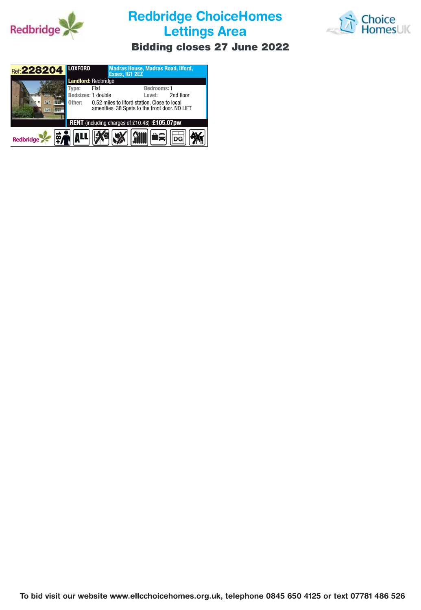

**Redbridge ChoiceHomes Lettings Area**



## **Bidding closes 27 June 2022**